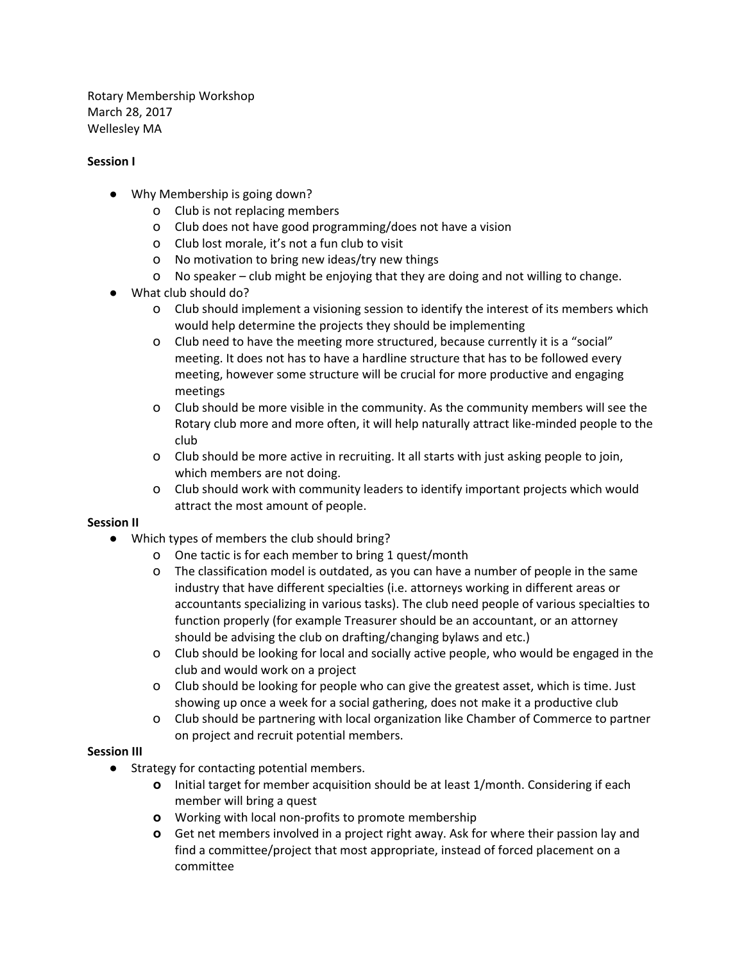Rotary Membership Workshop March 28, 2017 Wellesley MA

## **Session I**

- Why Membership is going down?
	- o Club is not replacing members
	- o Club does not have good programming/does not have a vision
	- o Club lost morale, it's not a fun club to visit
	- o No motivation to bring new ideas/try new things
	- o No speaker club might be enjoying that they are doing and not willing to change.
- What club should do?
	- o Club should implement a visioning session to identify the interest of its members which would help determine the projects they should be implementing
	- o Club need to have the meeting more structured, because currently it is a "social" meeting. It does not has to have a hardline structure that has to be followed every meeting, however some structure will be crucial for more productive and engaging meetings
	- o Club should be more visible in the community. As the community members will see the Rotary club more and more often, it will help naturally attract like-minded people to the club
	- o Club should be more active in recruiting. It all starts with just asking people to join, which members are not doing.
	- o Club should work with community leaders to identify important projects which would attract the most amount of people.

## **Session II**

- Which types of members the club should bring?
	- o One tactic is for each member to bring 1 quest/month
	- o The classification model is outdated, as you can have a number of people in the same industry that have different specialties (i.e. attorneys working in different areas or accountants specializing in various tasks). The club need people of various specialties to function properly (for example Treasurer should be an accountant, or an attorney should be advising the club on drafting/changing bylaws and etc.)
	- o Club should be looking for local and socially active people, who would be engaged in the club and would work on a project
	- o Club should be looking for people who can give the greatest asset, which is time. Just showing up once a week for a social gathering, does not make it a productive club
	- o Club should be partnering with local organization like Chamber of Commerce to partner on project and recruit potential members.

## **Session III**

- **●** Strategy for contacting potential members.
	- **o** Initial target for member acquisition should be at least 1/month. Considering if each member will bring a quest
	- **o** Working with local non-profits to promote membership
	- **o** Get net members involved in a project right away. Ask for where their passion lay and find a committee/project that most appropriate, instead of forced placement on a committee